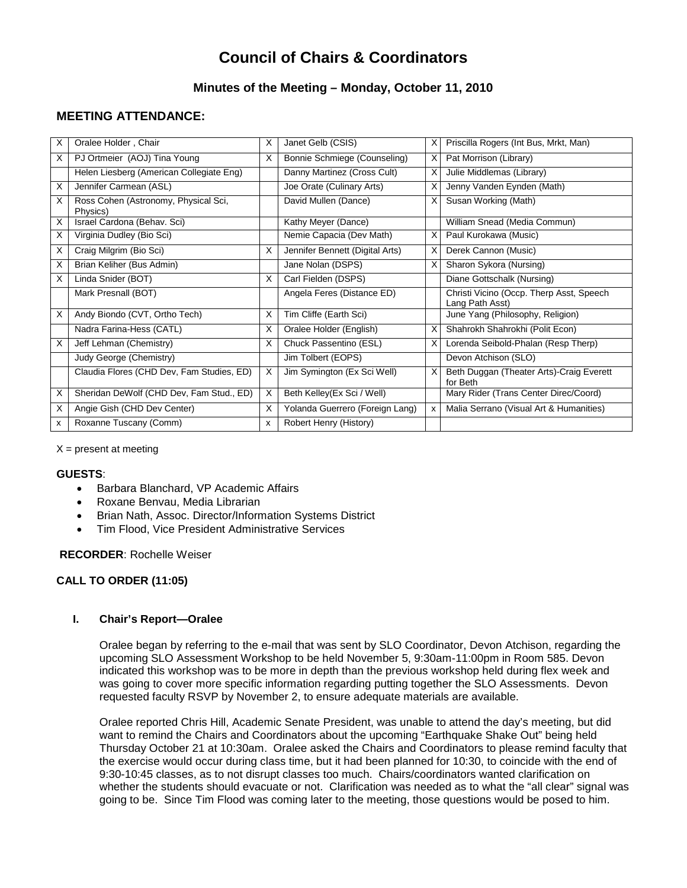# **Council of Chairs & Coordinators**

# **Minutes of the Meeting – Monday, October 11, 2010**

# **MEETING ATTENDANCE:**

| X | Oralee Holder, Chair                             | X            | Janet Gelb (CSIS)               | X | Priscilla Rogers (Int Bus, Mrkt, Man)                       |
|---|--------------------------------------------------|--------------|---------------------------------|---|-------------------------------------------------------------|
| X | PJ Ortmeier (AOJ) Tina Young                     | X            | Bonnie Schmiege (Counseling)    | X | Pat Morrison (Library)                                      |
|   | Helen Liesberg (American Collegiate Eng)         |              | Danny Martinez (Cross Cult)     | X | Julie Middlemas (Library)                                   |
| X | Jennifer Carmean (ASL)                           |              | Joe Orate (Culinary Arts)       | X | Jenny Vanden Eynden (Math)                                  |
| X | Ross Cohen (Astronomy, Physical Sci,<br>Physics) |              | David Mullen (Dance)            | X | Susan Working (Math)                                        |
| X | Israel Cardona (Behav. Sci)                      |              | Kathy Meyer (Dance)             |   | William Snead (Media Commun)                                |
| X | Virginia Dudley (Bio Sci)                        |              | Nemie Capacia (Dev Math)        | X | Paul Kurokawa (Music)                                       |
| X | Craig Milgrim (Bio Sci)                          | X            | Jennifer Bennett (Digital Arts) | X | Derek Cannon (Music)                                        |
| X | Brian Keliher (Bus Admin)                        |              | Jane Nolan (DSPS)               | X | Sharon Sykora (Nursing)                                     |
| X | Linda Snider (BOT)                               | X            | Carl Fielden (DSPS)             |   | Diane Gottschalk (Nursing)                                  |
|   | Mark Presnall (BOT)                              |              | Angela Feres (Distance ED)      |   | Christi Vicino (Occp. Therp Asst, Speech<br>Lang Path Asst) |
| X | Andy Biondo (CVT, Ortho Tech)                    | X            | Tim Cliffe (Earth Sci)          |   | June Yang (Philosophy, Religion)                            |
|   | Nadra Farina-Hess (CATL)                         | X            | Oralee Holder (English)         | X | Shahrokh Shahrokhi (Polit Econ)                             |
| х | Jeff Lehman (Chemistry)                          | X            | Chuck Passentino (ESL)          | X | Lorenda Seibold-Phalan (Resp Therp)                         |
|   | Judy George (Chemistry)                          |              | Jim Tolbert (EOPS)              |   | Devon Atchison (SLO)                                        |
|   | Claudia Flores (CHD Dev, Fam Studies, ED)        | X            | Jim Symington (Ex Sci Well)     | X | Beth Duggan (Theater Arts)-Craig Everett<br>for Beth        |
| х | Sheridan DeWolf (CHD Dev, Fam Stud., ED)         | X            | Beth Kelley(Ex Sci / Well)      |   | Mary Rider (Trans Center Direc/Coord)                       |
| X | Angie Gish (CHD Dev Center)                      | X            | Yolanda Guerrero (Foreign Lang) | x | Malia Serrano (Visual Art & Humanities)                     |
| x | Roxanne Tuscany (Comm)                           | $\mathsf{x}$ | Robert Henry (History)          |   |                                                             |

 $X =$  present at meeting

#### **GUESTS**:

- Barbara Blanchard, VP Academic Affairs
- Roxane Benvau, Media Librarian
- Brian Nath, Assoc. Director/Information Systems District
- Tim Flood, Vice President Administrative Services

## **RECORDER**: Rochelle Weiser

# **CALL TO ORDER (11:05)**

# **I. Chair's Report—Oralee**

Oralee began by referring to the e-mail that was sent by SLO Coordinator, Devon Atchison, regarding the upcoming SLO Assessment Workshop to be held November 5, 9:30am-11:00pm in Room 585. Devon indicated this workshop was to be more in depth than the previous workshop held during flex week and was going to cover more specific information regarding putting together the SLO Assessments. Devon requested faculty RSVP by November 2, to ensure adequate materials are available.

Oralee reported Chris Hill, Academic Senate President, was unable to attend the day's meeting, but did want to remind the Chairs and Coordinators about the upcoming "Earthquake Shake Out" being held Thursday October 21 at 10:30am. Oralee asked the Chairs and Coordinators to please remind faculty that the exercise would occur during class time, but it had been planned for 10:30, to coincide with the end of 9:30-10:45 classes, as to not disrupt classes too much. Chairs/coordinators wanted clarification on whether the students should evacuate or not. Clarification was needed as to what the "all clear" signal was going to be. Since Tim Flood was coming later to the meeting, those questions would be posed to him.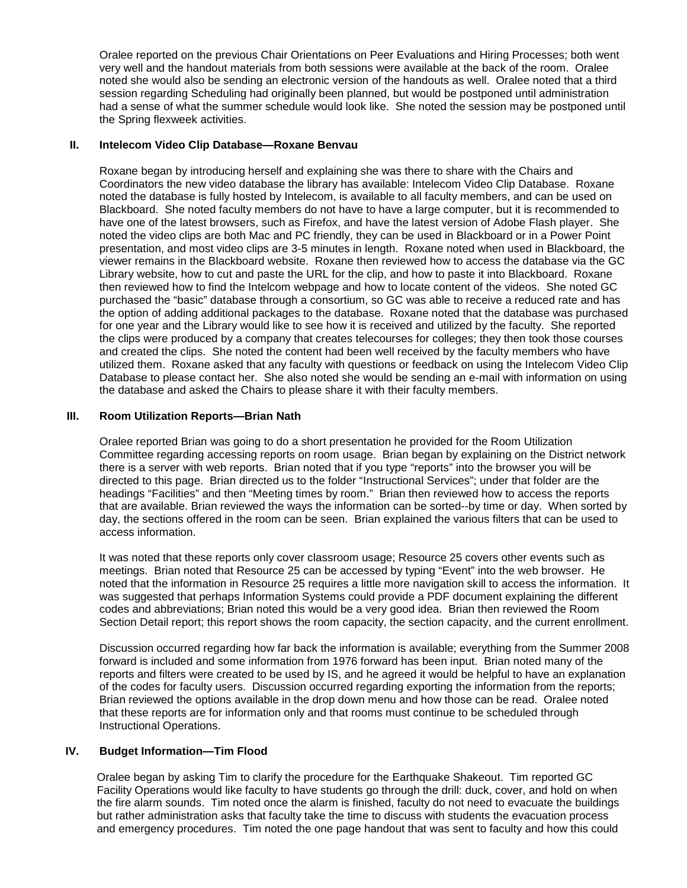Oralee reported on the previous Chair Orientations on Peer Evaluations and Hiring Processes; both went very well and the handout materials from both sessions were available at the back of the room. Oralee noted she would also be sending an electronic version of the handouts as well. Oralee noted that a third session regarding Scheduling had originally been planned, but would be postponed until administration had a sense of what the summer schedule would look like. She noted the session may be postponed until the Spring flexweek activities.

### **II. Intelecom Video Clip Database—Roxane Benvau**

Roxane began by introducing herself and explaining she was there to share with the Chairs and Coordinators the new video database the library has available: Intelecom Video Clip Database. Roxane noted the database is fully hosted by Intelecom, is available to all faculty members, and can be used on Blackboard. She noted faculty members do not have to have a large computer, but it is recommended to have one of the latest browsers, such as Firefox, and have the latest version of Adobe Flash player. She noted the video clips are both Mac and PC friendly, they can be used in Blackboard or in a Power Point presentation, and most video clips are 3-5 minutes in length. Roxane noted when used in Blackboard, the viewer remains in the Blackboard website. Roxane then reviewed how to access the database via the GC Library website, how to cut and paste the URL for the clip, and how to paste it into Blackboard. Roxane then reviewed how to find the Intelcom webpage and how to locate content of the videos. She noted GC purchased the "basic" database through a consortium, so GC was able to receive a reduced rate and has the option of adding additional packages to the database. Roxane noted that the database was purchased for one year and the Library would like to see how it is received and utilized by the faculty. She reported the clips were produced by a company that creates telecourses for colleges; they then took those courses and created the clips. She noted the content had been well received by the faculty members who have utilized them. Roxane asked that any faculty with questions or feedback on using the Intelecom Video Clip Database to please contact her. She also noted she would be sending an e-mail with information on using the database and asked the Chairs to please share it with their faculty members.

## **III. Room Utilization Reports—Brian Nath**

Oralee reported Brian was going to do a short presentation he provided for the Room Utilization Committee regarding accessing reports on room usage. Brian began by explaining on the District network there is a server with web reports. Brian noted that if you type "reports" into the browser you will be directed to this page. Brian directed us to the folder "Instructional Services"; under that folder are the headings "Facilities" and then "Meeting times by room." Brian then reviewed how to access the reports that are available. Brian reviewed the ways the information can be sorted--by time or day. When sorted by day, the sections offered in the room can be seen. Brian explained the various filters that can be used to access information.

It was noted that these reports only cover classroom usage; Resource 25 covers other events such as meetings. Brian noted that Resource 25 can be accessed by typing "Event" into the web browser. He noted that the information in Resource 25 requires a little more navigation skill to access the information. It was suggested that perhaps Information Systems could provide a PDF document explaining the different codes and abbreviations; Brian noted this would be a very good idea. Brian then reviewed the Room Section Detail report; this report shows the room capacity, the section capacity, and the current enrollment.

Discussion occurred regarding how far back the information is available; everything from the Summer 2008 forward is included and some information from 1976 forward has been input. Brian noted many of the reports and filters were created to be used by IS, and he agreed it would be helpful to have an explanation of the codes for faculty users. Discussion occurred regarding exporting the information from the reports; Brian reviewed the options available in the drop down menu and how those can be read. Oralee noted that these reports are for information only and that rooms must continue to be scheduled through Instructional Operations.

#### **IV. Budget Information—Tim Flood**

Oralee began by asking Tim to clarify the procedure for the Earthquake Shakeout. Tim reported GC Facility Operations would like faculty to have students go through the drill: duck, cover, and hold on when the fire alarm sounds. Tim noted once the alarm is finished, faculty do not need to evacuate the buildings but rather administration asks that faculty take the time to discuss with students the evacuation process and emergency procedures. Tim noted the one page handout that was sent to faculty and how this could